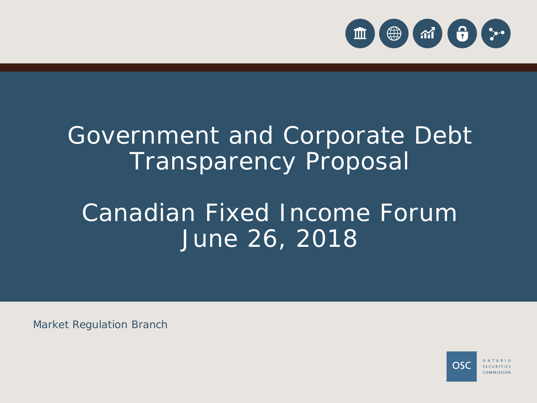

# Government and Corporate Debt Transparency Proposal

# Canadian Fixed Income Forum June 26, 2018

Market Regulation Branch

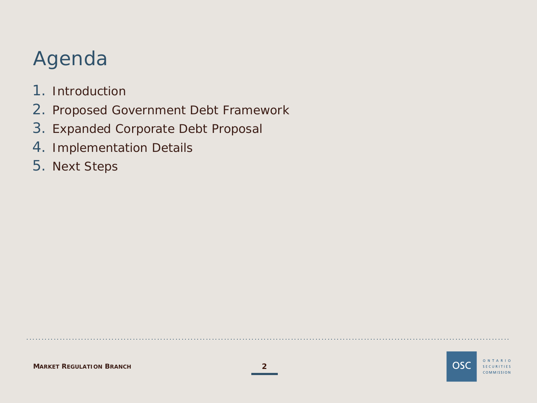## Agenda

- 1. Introduction
- 2. Proposed Government Debt Framework
- 3. Expanded Corporate Debt Proposal
- 4. Implementation Details
- 5. Next Steps

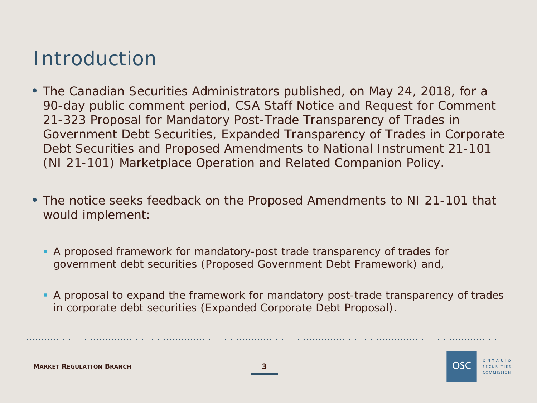### Introduction

- The Canadian Securities Administrators published, on May 24, 2018, for a 90-day public comment period, CSA Staff Notice and Request for Comment 21-323 *Proposal for Mandatory Post-Trade Transparency of Trades in Government Debt Securities, Expanded Transparency of Trades in Corporate Debt Securities and Proposed Amendments to National Instrument 21-101 (NI 21-101) Marketplace Operation and Related Companion Policy*.
- The notice seeks feedback on the Proposed Amendments to NI 21-101 that would implement:
	- A proposed framework for mandatory-post trade transparency of trades for government debt securities (Proposed Government Debt Framework) and,
	- A proposal to expand the framework for mandatory post-trade transparency of trades in corporate debt securities (Expanded Corporate Debt Proposal).

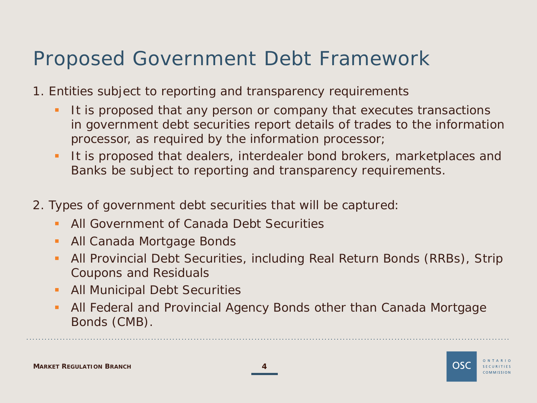### Proposed Government Debt Framework

- 1. Entities subject to reporting and transparency requirements
	- It is proposed that any person or company that executes transactions in government debt securities report details of trades to the information processor, as required by the information processor;
	- It is proposed that dealers, interdealer bond brokers, marketplaces and Banks be subject to reporting and transparency requirements.
- 2. Types of government debt securities that will be captured:
	- All Government of Canada Debt Securities
	- **All Canada Mortgage Bonds**
	- All Provincial Debt Securities, including Real Return Bonds (RRBs), Strip Coupons and Residuals
	- **All Municipal Debt Securities**
	- All Federal and Provincial Agency Bonds other than Canada Mortgage Bonds (CMB).



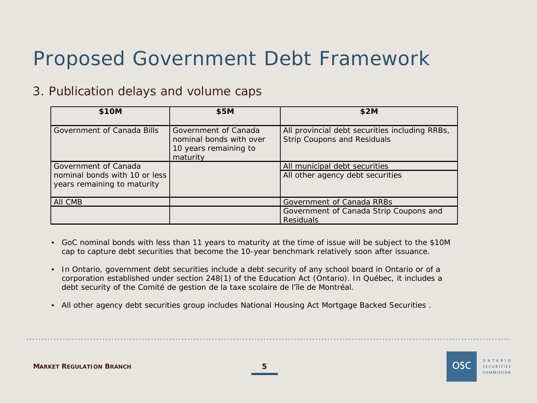### Proposed Government Debt Framework

#### 3. Publication delays and volume caps

| \$10M                                                                                    | \$5M                                                                                 | \$2M                                                                                 |
|------------------------------------------------------------------------------------------|--------------------------------------------------------------------------------------|--------------------------------------------------------------------------------------|
| Government of Canada Bills                                                               | Government of Canada<br>nominal bonds with over<br>10 years remaining to<br>maturity | All provincial debt securities including RRBs,<br><b>Strip Coupons and Residuals</b> |
| Government of Canada<br>  nominal bonds with 10 or less  <br>years remaining to maturity |                                                                                      | All municipal debt securities<br>All other agency debt securities                    |
| AII CMB                                                                                  |                                                                                      | Government of Canada RRBs                                                            |
|                                                                                          |                                                                                      | Government of Canada Strip Coupons and<br><b>Residuals</b>                           |

- GoC nominal bonds with less than 11 years to maturity at the time of issue will be subject to the \$10M cap to capture debt securities that become the 10-year benchmark relatively soon after issuance.
- In Ontario, government debt securities include a debt security of any school board in Ontario or of a corporation established under section 248(1) of the *Education Act* (Ontario). In Québec, it includes a debt security of the Comité de gestion de la taxe scolaire de l'île de Montréal.
- All other agency debt securities group includes National Housing Act Mortgage Backed Securities .



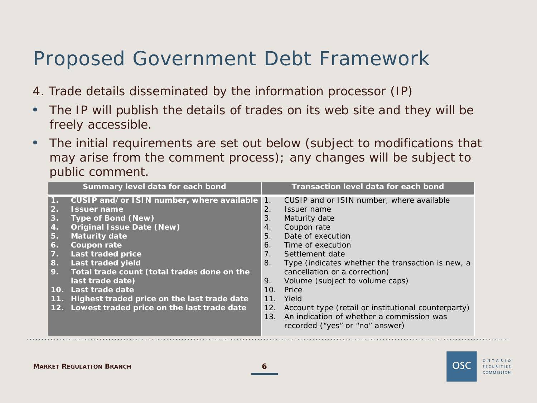### Proposed Government Debt Framework

- 4. Trade details disseminated by the information processor (IP)
- The IP will publish the details of trades on its web site and they will be freely accessible.
- The initial requirements are set out below (subject to modifications that may arise from the comment process); any changes will be subject to public comment.

|                                                                    | Summary level data for each bond                                                                                                                                                                                                |                                                                                    | <b>Transaction level data for each bond</b>                                                                                                                                                                               |
|--------------------------------------------------------------------|---------------------------------------------------------------------------------------------------------------------------------------------------------------------------------------------------------------------------------|------------------------------------------------------------------------------------|---------------------------------------------------------------------------------------------------------------------------------------------------------------------------------------------------------------------------|
| $\vert 2. \vert$<br>3.<br>4.<br>5.<br>6.<br>$\overline{7}$ .<br>8. | CUSIP and/or ISIN number, where available<br><b>Issuer name</b><br><b>Type of Bond (New)</b><br><b>Original Issue Date (New)</b><br><b>Maturity date</b><br><b>Coupon rate</b><br><b>Last traded price</b><br>Last traded yield | $\overline{1}$ .<br>2.<br>3.<br>4.<br>5 <sub>1</sub><br>6.<br>7 <sub>1</sub><br>8. | CUSIP and or ISIN number, where available<br>Issuer name<br>Maturity date<br>Coupon rate<br>Date of execution<br>Time of execution<br>Settlement date<br>Type (indicates whether the transaction is new, a                |
| 9.                                                                 | Total trade count (total trades done on the<br>last trade date)<br>10. Last trade date<br>11. Highest traded price on the last trade date<br>12. Lowest traded price on the last trade date                                     | 9.<br>10.<br>11 <sub>1</sub><br>12.<br>13.                                         | cancellation or a correction)<br>Volume (subject to volume caps)<br>Price<br>Yield<br>Account type (retail or institutional counterparty)<br>An indication of whether a commission was<br>recorded ("yes" or "no" answer) |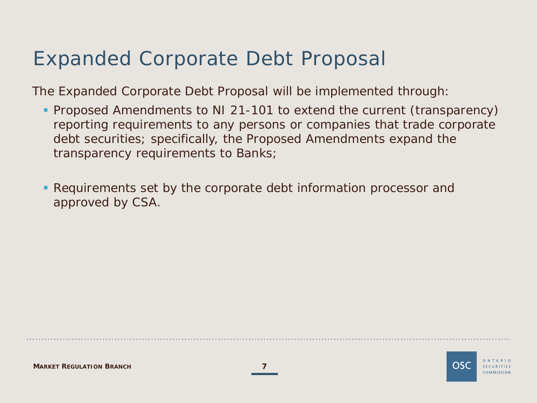### Expanded Corporate Debt Proposal

The Expanded Corporate Debt Proposal will be implemented through:

- **Proposed Amendments to NI 21-101 to extend the current (transparency)** reporting requirements to any persons or companies that trade corporate debt securities; specifically, the Proposed Amendments expand the transparency requirements to Banks;
- Requirements set by the corporate debt information processor and approved by CSA.

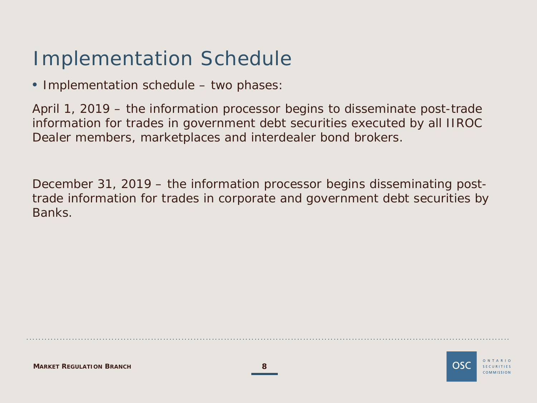### Implementation Schedule

• Implementation schedule – two phases:

April 1, 2019 – the information processor begins to disseminate post-trade information for trades in government debt securities executed by all IIROC Dealer members, marketplaces and interdealer bond brokers.

December 31, 2019 – the information processor begins disseminating posttrade information for trades in corporate and government debt securities by Banks.